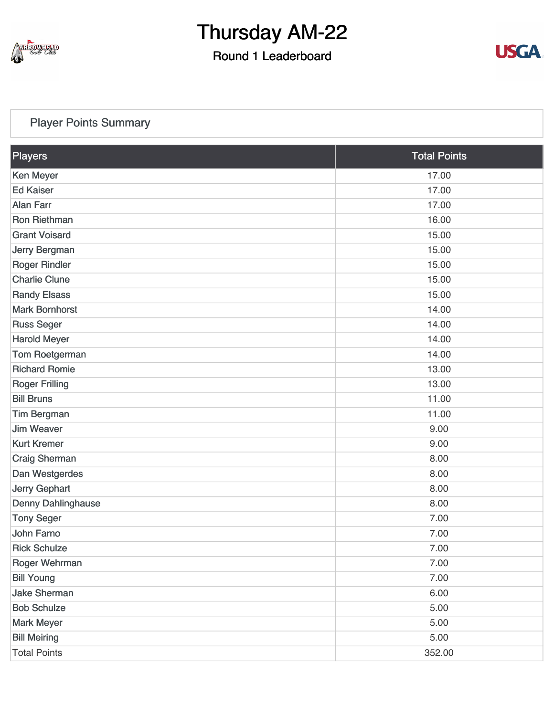

### Round 1 Leaderboard



#### [Player Points Summary](https://static.golfgenius.com/v2tournaments/total_points?league_id=8234394788888061414&round_id=8404776528100992384)

| Players               | <b>Total Points</b> |
|-----------------------|---------------------|
| <b>Ken Meyer</b>      | 17.00               |
| <b>Ed Kaiser</b>      | 17.00               |
| <b>Alan Farr</b>      | 17.00               |
| Ron Riethman          | 16.00               |
| <b>Grant Voisard</b>  | 15.00               |
| Jerry Bergman         | 15.00               |
| <b>Roger Rindler</b>  | 15.00               |
| <b>Charlie Clune</b>  | 15.00               |
| <b>Randy Elsass</b>   | 15.00               |
| <b>Mark Bornhorst</b> | 14.00               |
| <b>Russ Seger</b>     | 14.00               |
| <b>Harold Meyer</b>   | 14.00               |
| Tom Roetgerman        | 14.00               |
| <b>Richard Romie</b>  | 13.00               |
| <b>Roger Frilling</b> | 13.00               |
| <b>Bill Bruns</b>     | 11.00               |
| <b>Tim Bergman</b>    | 11.00               |
| <b>Jim Weaver</b>     | 9.00                |
| <b>Kurt Kremer</b>    | 9.00                |
| Craig Sherman         | 8.00                |
| Dan Westgerdes        | 8.00                |
| Jerry Gephart         | 8.00                |
| Denny Dahlinghause    | 8.00                |
| <b>Tony Seger</b>     | 7.00                |
| <b>John Farno</b>     | 7.00                |
| <b>Rick Schulze</b>   | 7.00                |
| Roger Wehrman         | 7.00                |
| <b>Bill Young</b>     | 7.00                |
| <b>Jake Sherman</b>   | 6.00                |
| <b>Bob Schulze</b>    | 5.00                |
| <b>Mark Meyer</b>     | 5.00                |
| <b>Bill Meiring</b>   | 5.00                |
| <b>Total Points</b>   | 352.00              |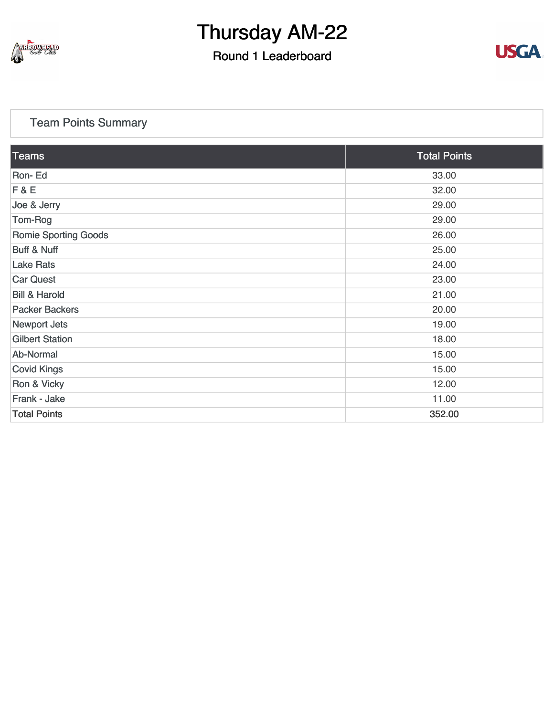

### Round 1 Leaderboard



#### [Team Points Summary](https://static.golfgenius.com/v2tournaments/team_points?league_id=8234394788888061414&round_id=8404776528100992384)

| $\overline{\textrm{Teams}}$ | <b>Total Points</b> |
|-----------------------------|---------------------|
| Ron-Ed                      | 33.00               |
| F & E                       | 32.00               |
| Joe & Jerry                 | 29.00               |
| Tom-Rog                     | 29.00               |
| <b>Romie Sporting Goods</b> | 26.00               |
| <b>Buff &amp; Nuff</b>      | 25.00               |
| <b>Lake Rats</b>            | 24.00               |
| <b>Car Quest</b>            | 23.00               |
| <b>Bill &amp; Harold</b>    | 21.00               |
| <b>Packer Backers</b>       | 20.00               |
| <b>Newport Jets</b>         | 19.00               |
| <b>Gilbert Station</b>      | 18.00               |
| Ab-Normal                   | 15.00               |
| <b>Covid Kings</b>          | 15.00               |
| Ron & Vicky                 | 12.00               |
| Frank - Jake                | 11.00               |
| <b>Total Points</b>         | 352.00              |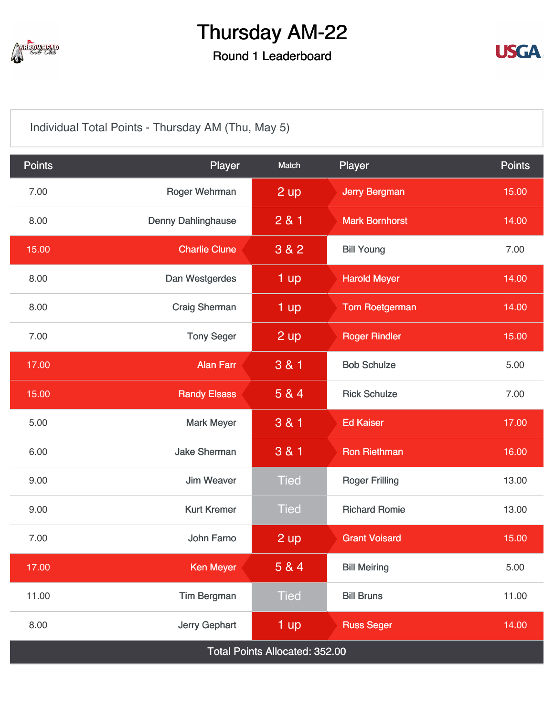

### Round 1 Leaderboard



[Individual Total Points - Thursday AM \(Thu, May 5\)](https://static.golfgenius.com/v2tournaments/8404776866564547863?called_from=&round_index=1)

| <b>Points</b>                  | Player                    | Match             | Player                | <b>Points</b> |  |  |
|--------------------------------|---------------------------|-------------------|-----------------------|---------------|--|--|
| 7.00                           | Roger Wehrman             | 2 up              | <b>Jerry Bergman</b>  | 15.00         |  |  |
| 8.00                           | <b>Denny Dahlinghause</b> | 281               | <b>Mark Bornhorst</b> | 14.00         |  |  |
| 15.00                          | <b>Charlie Clune</b>      | 3 & 2             | <b>Bill Young</b>     | 7.00          |  |  |
| 8.00                           | Dan Westgerdes            | $1$ up            | <b>Harold Meyer</b>   | 14.00         |  |  |
| 8.00                           | <b>Craig Sherman</b>      | 1 up              | <b>Tom Roetgerman</b> | 14.00         |  |  |
| 7.00                           | <b>Tony Seger</b>         | $2 \overline{up}$ | <b>Roger Rindler</b>  | 15.00         |  |  |
| 17.00                          | <b>Alan Farr</b>          | 3 & 1             | <b>Bob Schulze</b>    | 5.00          |  |  |
| 15.00                          | <b>Randy Elsass</b>       | 5 & 4             | <b>Rick Schulze</b>   | 7.00          |  |  |
| 5.00                           | <b>Mark Meyer</b>         | 3 & 1             | <b>Ed Kaiser</b>      | 17.00         |  |  |
| 6.00                           | <b>Jake Sherman</b>       | 3 & 1             | <b>Ron Riethman</b>   | 16.00         |  |  |
| 9.00                           | <b>Jim Weaver</b>         | <b>Tied</b>       | <b>Roger Frilling</b> | 13.00         |  |  |
| 9.00                           | <b>Kurt Kremer</b>        | <b>Tied</b>       | <b>Richard Romie</b>  | 13.00         |  |  |
| 7.00                           | John Farno                | $2$ up            | <b>Grant Voisard</b>  | 15.00         |  |  |
| 17.00                          | <b>Ken Meyer</b>          | 5 & 4             | <b>Bill Meiring</b>   | 5.00          |  |  |
| 11.00                          | <b>Tim Bergman</b>        | <b>Tied</b>       | <b>Bill Bruns</b>     | 11.00         |  |  |
| 8.00                           | Jerry Gephart             | 1 up              | <b>Russ Seger</b>     | 14.00         |  |  |
| Total Points Allocated: 352.00 |                           |                   |                       |               |  |  |